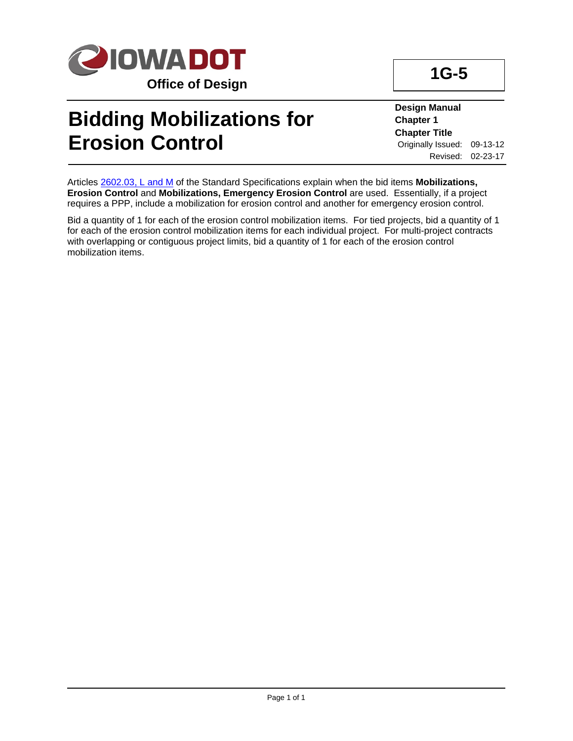

## **Bidding Mobilizations for Erosion Control**

**1G-5**

**Design Manual Chapter 1 Chapter Title** Originally Issued: 09-13-12 Revised: 02-23-17

Articles 2602.03, L and M of the Standard Specifications explain when the bid items **Mobilizations, Erosion Control** and **Mobilizations, Emergency Erosion Control** are used. Essentially, if a project requires a PPP, include a mobilization for erosion control and another for emergency erosion control.

Bid a quantity of 1 for each of the erosion control mobilization items. For tied projects, bid a quantity of 1 for each of the erosion control mobilization items for each individual project. For multi-project contracts with overlapping or contiguous project limits, bid a quantity of 1 for each of the erosion control mobilization items.